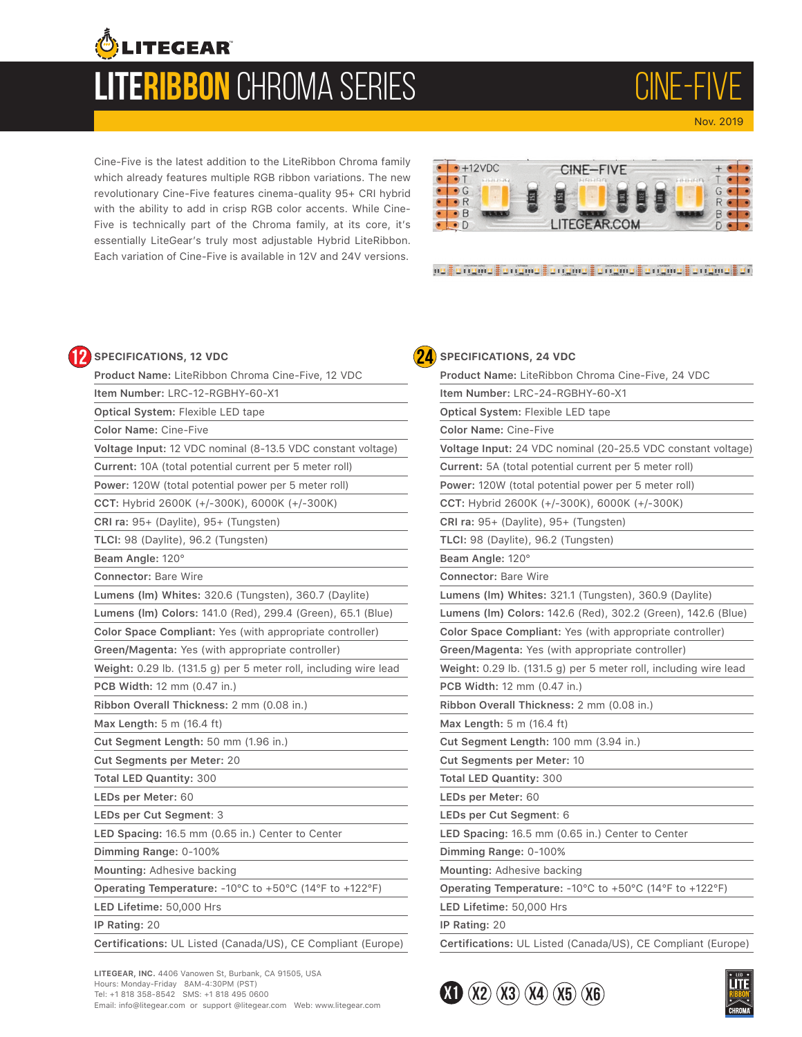## **LiteRibbon** CHROMA SERIES **OLITEGEAR**

CINE-FI Nov. 2019

Cine-Five is the latest addition to the LiteRibbon Chroma family which already features multiple RGB ribbon variations. The new revolutionary Cine-Five features cinema-quality 95+ CRI hybrid with the ability to add in crisp RGB color accents. While Cine-Five is technically part of the Chroma family, at its core, it's essentially LiteGear's truly most adjustable Hybrid LiteRibbon. Each variation of Cine-Five is available in 12V and 24V versions.



na langma langma langma langma langma langma lan

#### **SPECIFICATIONS, 12 VDC**

| Product Name: LiteRibbon Chroma Cine-Five, 12 VDC                |  |
|------------------------------------------------------------------|--|
| Item Number: LRC-12-RGBHY-60-X1                                  |  |
| Optical System: Flexible LED tape                                |  |
| <b>Color Name: Cine-Five</b>                                     |  |
| Voltage Input: 12 VDC nominal (8-13.5 VDC constant voltage)      |  |
| Current: 10A (total potential current per 5 meter roll)          |  |
| Power: 120W (total potential power per 5 meter roll)             |  |
| CCT: Hybrid 2600K (+/-300K), 6000K (+/-300K)                     |  |
| CRI ra: 95+ (Daylite), 95+ (Tungsten)                            |  |
| TLCI: 98 (Daylite), 96.2 (Tungsten)                              |  |
| Beam Angle: 120°                                                 |  |
| <b>Connector: Bare Wire</b>                                      |  |
| Lumens (Im) Whites: 320.6 (Tungsten), 360.7 (Daylite)            |  |
| Lumens (Im) Colors: 141.0 (Red), 299.4 (Green), 65.1 (Blue)      |  |
| Color Space Compliant: Yes (with appropriate controller)         |  |
| Green/Magenta: Yes (with appropriate controller)                 |  |
| Weight: 0.29 lb. (131.5 g) per 5 meter roll, including wire lead |  |
| <b>PCB Width: 12 mm (0.47 in.)</b>                               |  |
| Ribbon Overall Thickness: 2 mm (0.08 in.)                        |  |
| Max Length: 5 m (16.4 ft)                                        |  |
| Cut Segment Length: 50 mm (1.96 in.)                             |  |
| Cut Segments per Meter: 20                                       |  |
| <b>Total LED Quantity: 300</b>                                   |  |
| LEDs per Meter: 60                                               |  |
| LEDs per Cut Segment: 3                                          |  |
| LED Spacing: 16.5 mm (0.65 in.) Center to Center                 |  |
| Dimming Range: 0-100%                                            |  |
| Mounting: Adhesive backing                                       |  |
| Operating Temperature: - 10°C to +50°C (14°F to +122°F)          |  |
| LED Lifetime: 50,000 Hrs                                         |  |
| IP Rating: 20                                                    |  |
| Certifications: UL Listed (Canada/US), CE Compliant (Europe)     |  |

**LITEGEAR, INC.** 4406 Vanowen St, Burbank, CA 91505, USA Hours: Monday-Friday 8AM-4:30PM (PST) Tel: +1 818 358-8542 SMS: +1 818 495 0600 Email: info@litegear.com or support @litegear.com Web: www.litegear.com

#### **24 SPECIFICATIONS, 24 VDC**

| Product Name: LiteRibbon Chroma Cine-Five, 24 VDC                |
|------------------------------------------------------------------|
| Item Number: LRC-24-RGBHY-60-X1                                  |
| Optical System: Flexible LED tape                                |
| <b>Color Name: Cine-Five</b>                                     |
| Voltage Input: 24 VDC nominal (20-25.5 VDC constant voltage)     |
| Current: 5A (total potential current per 5 meter roll)           |
| Power: 120W (total potential power per 5 meter roll)             |
| CCT: Hybrid 2600K (+/-300K), 6000K (+/-300K)                     |
| CRI ra: 95+ (Daylite), 95+ (Tungsten)                            |
| TLCI: 98 (Daylite), 96.2 (Tungsten)                              |
| Beam Angle: 120°                                                 |
| <b>Connector: Bare Wire</b>                                      |
| Lumens (Im) Whites: 321.1 (Tungsten), 360.9 (Daylite)            |
| Lumens (Im) Colors: 142.6 (Red), 302.2 (Green), 142.6 (Blue)     |
| Color Space Compliant: Yes (with appropriate controller)         |
| Green/Magenta: Yes (with appropriate controller)                 |
| Weight: 0.29 lb. (131.5 g) per 5 meter roll, including wire lead |
| PCB Width: 12 mm (0.47 in.)                                      |
| Ribbon Overall Thickness: 2 mm (0.08 in.)                        |
| Max Length: 5 m (16.4 ft)                                        |
| Cut Segment Length: 100 mm (3.94 in.)                            |
| Cut Segments per Meter: 10                                       |
| <b>Total LED Quantity: 300</b>                                   |
| LEDs per Meter: 60                                               |
| LEDs per Cut Segment: 6                                          |
| LED Spacing: 16.5 mm (0.65 in.) Center to Center                 |
| Dimming Range: 0-100%                                            |
| Mounting: Adhesive backing                                       |
| Operating Temperature: - 10°C to +50°C (14°F to +122°F)          |
| LED Lifetime: 50,000 Hrs                                         |
| IP Rating: 20                                                    |
| Certifications: UL Listed (Canada/US), CE Compliant (Europe)     |